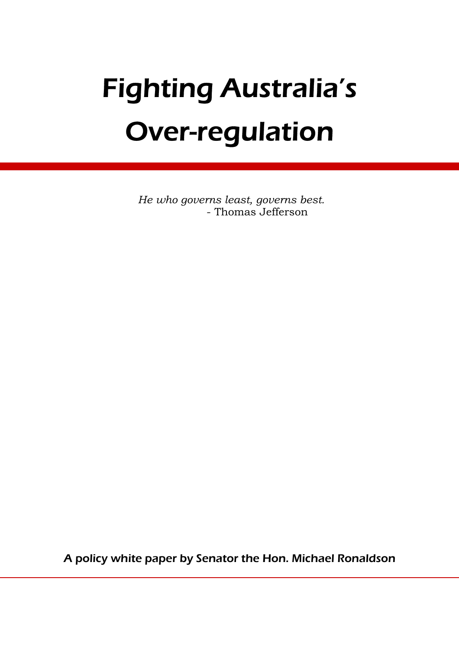# Fighting Australia's Over-regulation

*He who governs least, governs best.*  - Thomas Jefferson

A policy white paper by Senator the Hon. Michael Ronaldson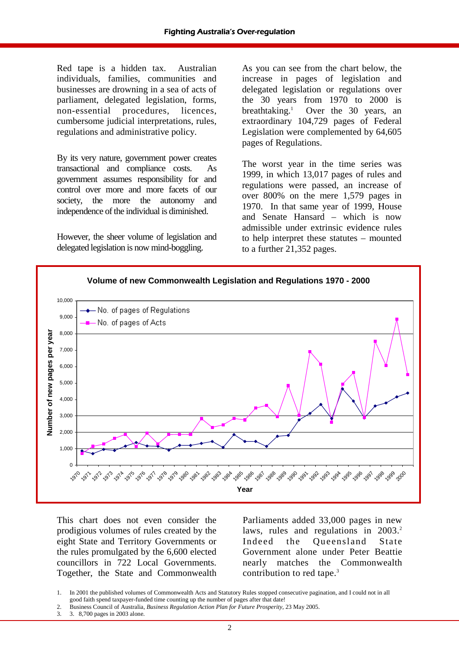Red tape is a hidden tax. Australian individuals, families, communities and businesses are drowning in a sea of acts of parliament, delegated legislation, forms, non-essential procedures, licences, cumbersome judicial interpretations, rules, regulations and administrative policy.

By its very nature, government power creates transactional and compliance costs. As government assumes responsibility for and control over more and more facets of our society, the more the autonomy and independence of the individual is diminished.

However, the sheer volume of legislation and delegated legislation is now mind-boggling.

As you can see from the chart below, the increase in pages of legislation and delegated legislation or regulations over the 30 years from 1970 to 2000 is breathtaking. $<sup>1</sup>$ </sup> Over the 30 years, an extraordinary 104,729 pages of Federal Legislation were complemented by 64,605 pages of Regulations.

The worst year in the time series was 1999, in which 13,017 pages of rules and regulations were passed, an increase of over 800% on the mere 1,579 pages in 1970. In that same year of 1999, House and Senate Hansard – which is now admissible under extrinsic evidence rules to help interpret these statutes – mounted to a further 21,352 pages.



This chart does not even consider the prodigious volumes of rules created by the eight State and Territory Governments or the rules promulgated by the 6,600 elected councillors in 722 Local Governments. Together, the State and Commonwealth

Parliaments added 33,000 pages in new laws, rules and regulations in 2003.<sup>2</sup> Indeed the Queensland State Government alone under Peter Beattie nearly matches the Commonwealth contribution to red tape.<sup>3</sup>

3. 3. 8,700 pages in 2003 alone.

<sup>1.</sup> In 2001 the published volumes of Commonwealth Acts and Statutory Rules stopped consecutive pagination, and I could not in all good faith spend taxpayer-funded time counting up the number of pages after that date!

<sup>2.</sup> Business Council of Australia, *Business Regulation Action Plan for Future Prosperity*, 23 May 2005.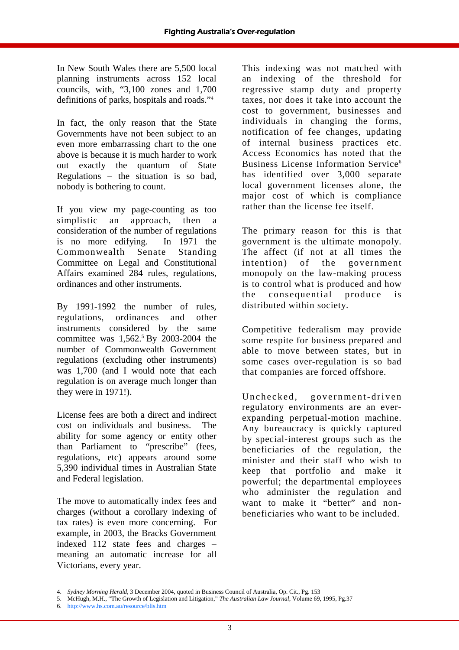In New South Wales there are 5,500 local planning instruments across 152 local councils, with, "3,100 zones and 1,700 definitions of parks, hospitals and roads."4

In fact, the only reason that the State Governments have not been subject to an even more embarrassing chart to the one above is because it is much harder to work out exactly the quantum of State Regulations – the situation is so bad, nobody is bothering to count.

If you view my page-counting as too simplistic an approach, then a consideration of the number of regulations is no more edifying. In 1971 the Commonwealth Senate Standing Committee on Legal and Constitutional Affairs examined 284 rules, regulations, ordinances and other instruments.

By 1991-1992 the number of rules, regulations, ordinances and other instruments considered by the same committee was 1,562.<sup>5</sup> By 2003-2004 the number of Commonwealth Government regulations (excluding other instruments) was 1,700 (and I would note that each regulation is on average much longer than they were in 1971!).

License fees are both a direct and indirect cost on individuals and business. The ability for some agency or entity other than Parliament to "prescribe" (fees, regulations, etc) appears around some 5,390 individual times in Australian State and Federal legislation.

The move to automatically index fees and charges (without a corollary indexing of tax rates) is even more concerning. For example, in 2003, the Bracks Government indexed 112 state fees and charges – meaning an automatic increase for all Victorians, every year.

This indexing was not matched with an indexing of the threshold for regressive stamp duty and property taxes, nor does it take into account the cost to government, businesses and individuals in changing the forms, notification of fee changes, updating of internal business practices etc. Access Economics has noted that the Business License Information Service<sup>6</sup> has identified over 3,000 separate local government licenses alone, the major cost of which is compliance rather than the license fee itself.

The primary reason for this is that government is the ultimate monopoly. The affect (if not at all times the intention) of the government monopoly on the law-making process is to control what is produced and how the consequential produce is distributed within society.

Competitive federalism may provide some respite for business prepared and able to move between states, but in some cases over-regulation is so bad that companies are forced offshore.

Unchecked, government-driven regulatory environments are an everexpanding perpetual-motion machine. Any bureaucracy is quickly captured by special-interest groups such as the beneficiaries of the regulation, the minister and their staff who wish to keep that portfolio and make it powerful; the departmental employees who administer the regulation and want to make it "better" and nonbeneficiaries who want to be included.

<sup>4.</sup> *Sydney Morning Herald*, 3 December 2004, quoted in Business Council of Australia, Op. Cit., Pg. 153

<sup>5.</sup> McHugh, M.H., "The Growth of Legislation and Litigation," *The Australian Law Journal*, Volume 69, 1995, Pg.37

<sup>6.</sup> http://www.hs.com.au/resource/blis.htm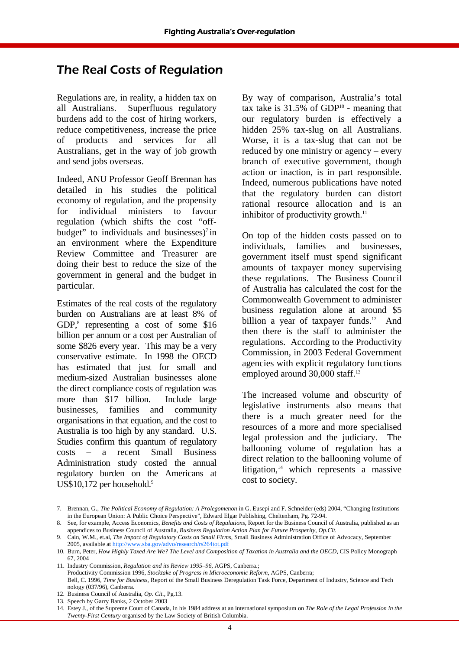## The Real Costs of Regulation

Regulations are, in reality, a hidden tax on all Australians. Superfluous regulatory burdens add to the cost of hiring workers, reduce competitiveness, increase the price of products and services for all Australians, get in the way of job growth and send jobs overseas.

Indeed, ANU Professor Geoff Brennan has detailed in his studies the political economy of regulation, and the propensity for individual ministers to favour regulation (which shifts the cost "offbudget" to individuals and businesses) $\frac{7}{1}$  in an environment where the Expenditure Review Committee and Treasurer are doing their best to reduce the size of the government in general and the budget in particular.

Estimates of the real costs of the regulatory burden on Australians are at least 8% of GDP, ${}^{8}$  representing a cost of some \$16 billion per annum or a cost per Australian of some \$826 every year. This may be a very conservative estimate. In 1998 the OECD has estimated that just for small and medium-sized Australian businesses alone the direct compliance costs of regulation was more than \$17 billion. Include large businesses, families and community organisations in that equation, and the cost to Australia is too high by any standard. U.S. Studies confirm this quantum of regulatory costs – a recent Small Business Administration study costed the annual regulatory burden on the Americans at US\$10,172 per household.<sup>9</sup>

By way of comparison, Australia's total tax take is  $31.5\%$  of GDP<sup>10</sup> - meaning that our regulatory burden is effectively a hidden 25% tax-slug on all Australians. Worse, it is a tax-slug that can not be reduced by one ministry or agency – every branch of executive government, though action or inaction, is in part responsible. Indeed, numerous publications have noted that the regulatory burden can distort rational resource allocation and is an inhibitor of productivity growth. $11$ 

On top of the hidden costs passed on to individuals, families and businesses, government itself must spend significant amounts of taxpayer money supervising these regulations. The Business Council of Australia has calculated the cost for the Commonwealth Government to administer business regulation alone at around \$5 billion a year of taxpayer funds.<sup>12</sup> And then there is the staff to administer the regulations. According to the Productivity Commission, in 2003 Federal Government agencies with explicit regulatory functions employed around 30,000 staff.<sup>13</sup>

The increased volume and obscurity of legislative instruments also means that there is a much greater need for the resources of a more and more specialised legal profession and the judiciary. The ballooning volume of regulation has a direct relation to the ballooning volume of litigation, $14$  which represents a massive cost to society.

<sup>7.</sup> Brennan, G., *The Political Economy of Regulation: A Prolegomenon* in G. Eusepi and F. Schneider (eds) 2004, "Changing Institutions in the European Union: A Public Choice Perspective", Edward Elgar Publishing, Cheltenham, Pg. 72-94.

<sup>8.</sup> See, for example, Access Economics, *Benefits and Costs of Regulations*, Report for the Business Council of Australia, published as an appendices to Business Council of Australia, *Business Regulation Action Plan for Future Prosperity*, *Op.Cit.*

<sup>9.</sup> Cain, W.M., et.al, *The Impact of Regulatory Costs on Small Firms,* Small Business Administration Office of Advocacy, September 2005, available at http://www.sba.gov/advo/research/rs264tot.pdf

<sup>10.</sup> Burn, Peter, *How Highly Taxed Are We? The Level and Composition of Taxation in Australia and the OECD*, CIS Policy Monograph 67, 2004

<sup>11.</sup> Industry Commission, *Regulation and its Review 1995–96*, AGPS, Canberra.;

Productivity Commission 1996, *Stocktake of Progress in Microeconomic Reform*, AGPS, Canberra; Bell, C. 1996, *Time for Business*, Report of the Small Business Deregulation Task Force, Department of Industry, Science and Tech nology (037/96), Canberra.

<sup>12.</sup> Business Council of Australia, *Op. Cit.*, Pg.13.

<sup>13.</sup> Speech by Garry Banks, 2 October 2003

<sup>14.</sup> Estey J., of the Supreme Court of Canada, in his 1984 address at an international symposium on *The Role of the Legal Profession in the Twenty-First Century* organised by the Law Society of British Columbia.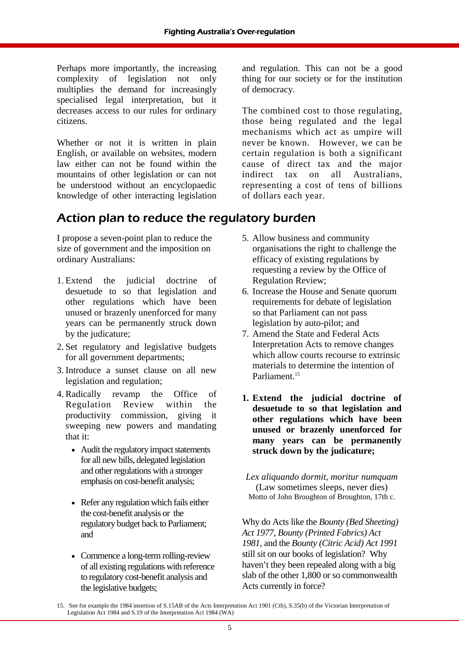Perhaps more importantly, the increasing complexity of legislation not only multiplies the demand for increasingly specialised legal interpretation, but it decreases access to our rules for ordinary citizens.

Whether or not it is written in plain English, or available on websites, modern law either can not be found within the mountains of other legislation or can not be understood without an encyclopaedic knowledge of other interacting legislation

# Action plan to reduce the regulatory burden

I propose a seven-point plan to reduce the size of government and the imposition on ordinary Australians:

- 1. Extend the judicial doctrine of desuetude to so that legislation and other regulations which have been unused or brazenly unenforced for many years can be permanently struck down by the judicature;
- 2. Set regulatory and legislative budgets for all government departments;
- 3. Introduce a sunset clause on all new legislation and regulation;
- 4. Radically revamp the Office of Regulation Review within the productivity commission, giving it sweeping new powers and mandating that it:
	- Audit the regulatory impact statements for all new bills, delegated legislation and other regulations with a stronger emphasis on cost-benefit analysis;
	- Refer any regulation which fails either the cost-benefit analysis or the regulatory budget back to Parliament; and
	- Commence a long-term rolling-review of all existing regulations with reference to regulatory cost-benefit analysis and the legislative budgets;

and regulation. This can not be a good thing for our society or for the institution of democracy.

The combined cost to those regulating, those being regulated and the legal mechanisms which act as umpire will never be known. However, we can be certain regulation is both a significant cause of direct tax and the major indirect tax on all Australians, representing a cost of tens of billions of dollars each year.

- 5. Allow business and community organisations the right to challenge the efficacy of existing regulations by requesting a review by the Office of Regulation Review;
- 6. Increase the House and Senate quorum requirements for debate of legislation so that Parliament can not pass legislation by auto-pilot; and
- 7. Amend the State and Federal Acts Interpretation Acts to remove changes which allow courts recourse to extrinsic materials to determine the intention of Parliament.<sup>15</sup>
- **1. Extend the judicial doctrine of desuetude to so that legislation and other regulations which have been unused or brazenly unenforced for many years can be permanently struck down by the judicature;**

*Lex aliquando dormit, moritur numquam*  (Law sometimes sleeps, never dies) Motto of John Broughton of Broughton, 17th c.

Why do Acts like the *Bounty (Bed Sheeting) Act 1977, Bounty (Printed Fabrics) Act 1981,* and the *Bounty (Citric Acid) Act 1991* still sit on our books of legislation? Why haven't they been repealed along with a big slab of the other 1,800 or so commonwealth Acts currently in force?

<sup>15.</sup> See for example the 1984 insertion of S.15AB of the Acts Interpretation Act 1901 (Cth), S.35(b) of the Victorian Interpretation of Legislation Act 1984 and S.19 of the Interpretation Act 1984 (WA)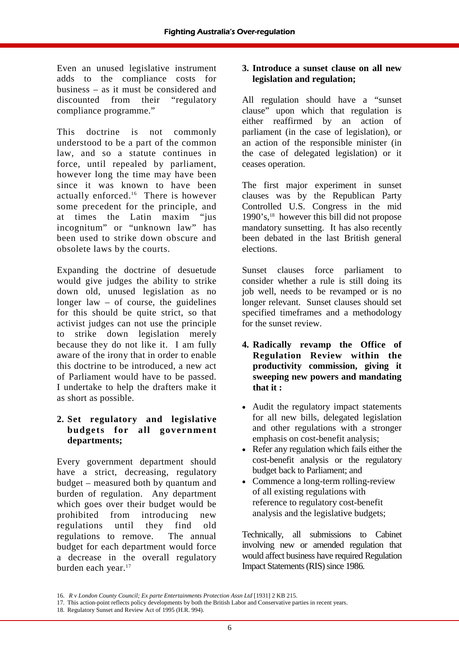Even an unused legislative instrument adds to the compliance costs for business – as it must be considered and discounted from their "regulatory compliance programme."

This doctrine is not commonly understood to be a part of the common law, and so a statute continues in force, until repealed by parliament, however long the time may have been since it was known to have been actually enforced. $16$  There is however some precedent for the principle, and at times the Latin maxim "jus incognitum" or "unknown law" has been used to strike down obscure and obsolete laws by the courts.

Expanding the doctrine of desuetude would give judges the ability to strike down old, unused legislation as no longer  $law - of course$ , the guidelines for this should be quite strict, so that activist judges can not use the principle to strike down legislation merely because they do not like it. I am fully aware of the irony that in order to enable this doctrine to be introduced, a new act of Parliament would have to be passed. I undertake to help the drafters make it as short as possible.

#### **2. Set regulatory and legislative budgets for all government departments;**

Every government department should have a strict, decreasing, regulatory budget – measured both by quantum and burden of regulation. Any department which goes over their budget would be prohibited from introducing new regulations until they find old regulations to remove. The annual budget for each department would force a decrease in the overall regulatory burden each year.<sup>17</sup>

#### **3. Introduce a sunset clause on all new legislation and regulation;**

All regulation should have a "sunset clause" upon which that regulation is either reaffirmed by an action of parliament (in the case of legislation), or an action of the responsible minister (in the case of delegated legislation) or it ceases operation.

The first major experiment in sunset clauses was by the Republican Party Controlled U.S. Congress in the mid  $1990$ 's,  $^{18}$  however this bill did not propose mandatory sunsetting. It has also recently been debated in the last British general elections.

Sunset clauses force parliament to consider whether a rule is still doing its job well, needs to be revamped or is no longer relevant. Sunset clauses should set specified timeframes and a methodology for the sunset review.

- **4. Radically revamp the Office of Regulation Review within the productivity commission, giving it sweeping new powers and mandating that it :**
- Audit the regulatory impact statements for all new bills, delegated legislation and other regulations with a stronger emphasis on cost-benefit analysis;
- Refer any regulation which fails either the cost-benefit analysis or the regulatory budget back to Parliament; and
- Commence a long-term rolling-review of all existing regulations with reference to regulatory cost-benefit analysis and the legislative budgets;

Technically, all submissions to Cabinet involving new or amended regulation that would affect business have required Regulation Impact Statements (RIS) since 1986.

<sup>16.</sup> *R v London County Council; Ex parte Entertainments Protection Assn Ltd* [1931] 2 KB 215.

<sup>17.</sup> This action-point reflects policy developments by both the British Labor and Conservative parties in recent years.

<sup>18.</sup> Regulatory Sunset and Review Act of 1995 (H.R. 994).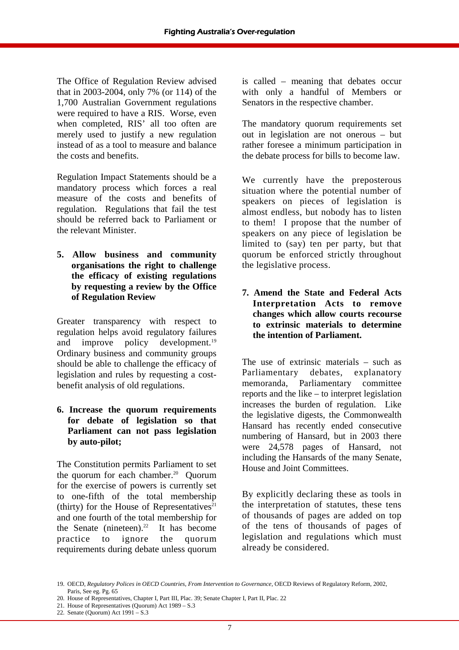The Office of Regulation Review advised that in 2003-2004, only 7% (or 114) of the 1,700 Australian Government regulations were required to have a RIS. Worse, even when completed, RIS' all too often are merely used to justify a new regulation instead of as a tool to measure and balance the costs and benefits.

Regulation Impact Statements should be a mandatory process which forces a real measure of the costs and benefits of regulation. Regulations that fail the test should be referred back to Parliament or the relevant Minister.

**5. Allow business and community organisations the right to challenge the efficacy of existing regulations by requesting a review by the Office of Regulation Review** 

Greater transparency with respect to regulation helps avoid regulatory failures and improve policy development.<sup>19</sup> Ordinary business and community groups should be able to challenge the efficacy of legislation and rules by requesting a costbenefit analysis of old regulations.

#### **6. Increase the quorum requirements for debate of legislation so that Parliament can not pass legislation by auto-pilot;**

The Constitution permits Parliament to set the quorum for each chamber.<sup>20</sup> Ouorum for the exercise of powers is currently set to one-fifth of the total membership (thirty) for the House of Representatives<sup>21</sup> and one fourth of the total membership for the Senate (nineteen).<sup>22</sup> It has become practice to ignore the quorum requirements during debate unless quorum

is called – meaning that debates occur with only a handful of Members or Senators in the respective chamber.

The mandatory quorum requirements set out in legislation are not onerous – but rather foresee a minimum participation in the debate process for bills to become law.

We currently have the preposterous situation where the potential number of speakers on pieces of legislation is almost endless, but nobody has to listen to them! I propose that the number of speakers on any piece of legislation be limited to (say) ten per party, but that quorum be enforced strictly throughout the legislative process.

**7. Amend the State and Federal Acts Interpretation Acts to remove changes which allow courts recourse to extrinsic materials to determine the intention of Parliament.** 

The use of extrinsic materials – such as Parliamentary debates, explanatory memoranda, Parliamentary committee reports and the like – to interpret legislation increases the burden of regulation. Like the legislative digests, the Commonwealth Hansard has recently ended consecutive numbering of Hansard, but in 2003 there were 24,578 pages of Hansard, not including the Hansards of the many Senate, House and Joint Committees.

By explicitly declaring these as tools in the interpretation of statutes, these tens of thousands of pages are added on top of the tens of thousands of pages of legislation and regulations which must already be considered.

<sup>19.</sup> OECD, *Regulatory Polices in OECD Countries, From Intervention to Governance*, OECD Reviews of Regulatory Reform, 2002, Paris, See eg. Pg. 65

<sup>20.</sup> House of Representatives, Chapter I, Part III, Plac. 39; Senate Chapter I, Part II, Plac. 22

<sup>21.</sup> House of Representatives (Quorum) Act 1989 – S.3

<sup>22.</sup> Senate (Quorum) Act 1991 – S.3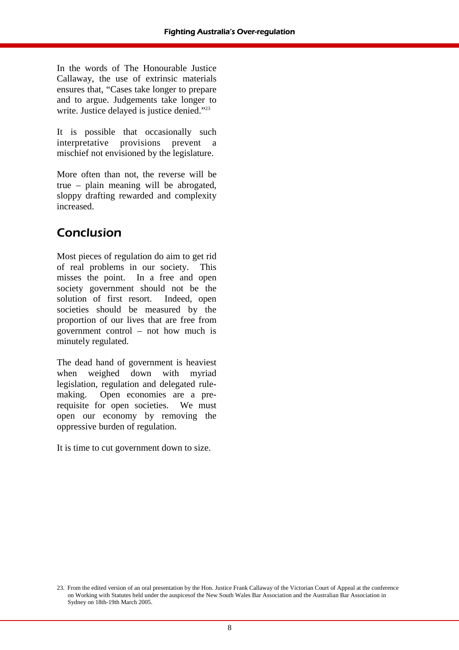In the words of The Honourable Justice Callaway, the use of extrinsic materials ensures that, "Cases take longer to prepare and to argue. Judgements take longer to write. Justice delayed is justice denied."<sup>23</sup>

It is possible that occasionally such interpretative provisions prevent a mischief not envisioned by the legislature.

More often than not, the reverse will be true – plain meaning will be abrogated, sloppy drafting rewarded and complexity increased.

# Conclusion

Most pieces of regulation do aim to get rid of real problems in our society. This misses the point. In a free and open society government should not be the solution of first resort. Indeed, open societies should be measured by the proportion of our lives that are free from government control – not how much is minutely regulated.

The dead hand of government is heaviest when weighed down with myriad legislation, regulation and delegated rulemaking. Open economies are a prerequisite for open societies. We must open our economy by removing the oppressive burden of regulation.

It is time to cut government down to size.

<sup>23.</sup> From the edited version of an oral presentation by the Hon. Justice Frank Callaway of the Victorian Court of Appeal at the conference on Working with Statutes held under the auspicesof the New South Wales Bar Association and the Australian Bar Association in Sydney on 18th-19th March 2005.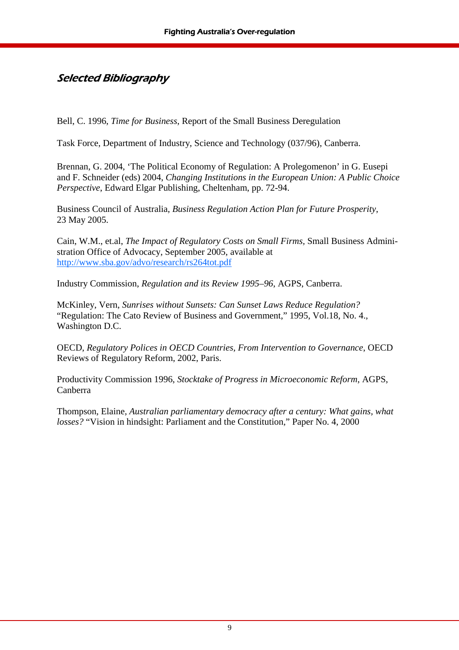### Selected Bibliography

Bell, C. 1996, *Time for Business*, Report of the Small Business Deregulation

Task Force, Department of Industry, Science and Technology (037/96), Canberra.

Brennan, G. 2004, 'The Political Economy of Regulation: A Prolegomenon' in G. Eusepi and F. Schneider (eds) 2004, *Changing Institutions in the European Union: A Public Choice Perspective*, Edward Elgar Publishing, Cheltenham, pp. 72-94.

Business Council of Australia, *Business Regulation Action Plan for Future Prosperity*, 23 May 2005.

Cain, W.M., et.al, *The Impact of Regulatory Costs on Small Firms,* Small Business Administration Office of Advocacy, September 2005, available at http://www.sba.gov/advo/research/rs264tot.pdf

Industry Commission, *Regulation and its Review 1995–96*, AGPS, Canberra.

McKinley, Vern, *Sunrises without Sunsets: Can Sunset Laws Reduce Regulation?* "Regulation: The Cato Review of Business and Government," 1995, Vol.18, No. 4., Washington D.C.

OECD, *Regulatory Polices in OECD Countries, From Intervention to Governance*, OECD Reviews of Regulatory Reform, 2002, Paris.

Productivity Commission 1996, *Stocktake of Progress in Microeconomic Reform*, AGPS, Canberra

Thompson, Elaine, *Australian parliamentary democracy after a century: What gains, what losses?* "Vision in hindsight: Parliament and the Constitution," Paper No. 4, 2000